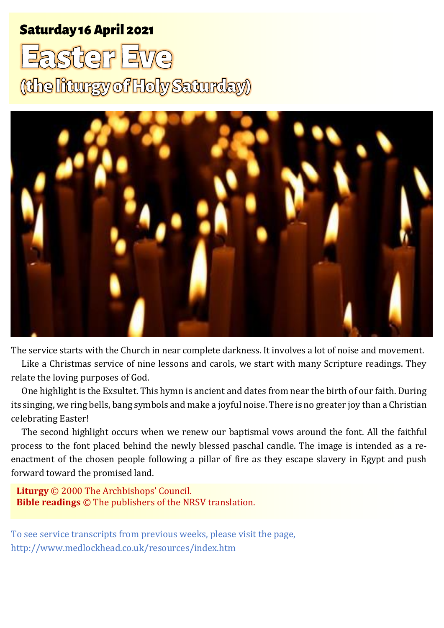# **Saturday 16 April 2021**



(the liturgy of Holy Saturday)



The service starts with the Church in near complete darkness. It involves a lot of noise and movement.

Like a Christmas service of nine lessons and carols, we start with many Scripture readings. They relate the loving purposes of God.

One highlight is the Exsultet. This hymn is ancient and dates from near the birth of our faith. During its singing, we ring bells, bang symbols and make a joyful noise. There is no greater joy than a Christian celebrating Easter!

The second highlight occurs when we renew our baptismal vows around the font. All the faithful process to the font placed behind the newly blessed paschal candle. The image is intended as a reenactment of the chosen people following a pillar of fire as they escape slavery in Egypt and push forward toward the promised land.

**Liturgy** © 2000 The Archbishops' Council. **Bible readings** © The publishers of the NRSV translation.

To see service transcripts from previous weeks, please visit the page, <http://www.medlockhead.co.uk/resources/index.htm>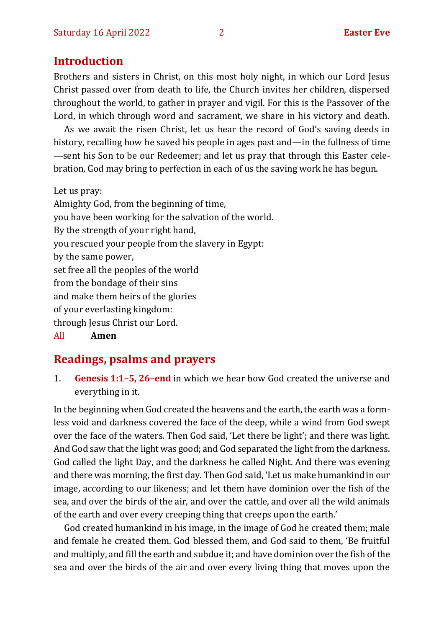#### **Introduction**

Brothers and sisters in Christ, on this most holy night, in which our Lord Jesus Christ passed over from death to life, the Church invites her children, dispersed throughout the world, to gather in prayer and vigil. For this is the Passover of the Lord, in which through word and sacrament, we share in his victory and death.

As we await the risen Christ, let us hear the record of God's saving deeds in history, recalling how he saved his people in ages past and—in the fullness of time —sent his Son to be our Redeemer; and let us pray that through this Easter celebration, God may bring to perfection in each of us the saving work he has begun.

Let us pray:

Almighty God, from the beginning of time, you have been working for the salvation of the world. By the strength of your right hand, you rescued your people from the slavery in Egypt: by the same power, set free all the peoples of the world from the bondage of their sins and make them heirs of the glories of your everlasting kingdom: through Jesus Christ our Lord.

# All **Amen**

## **Readings, psalms and prayers**

1. **Genesis 1:1–5, 26–end** in which we hear how God created the universe and everything in it.

In the beginning when God created the heavens and the earth, the earth was a formless void and darkness covered the face of the deep, while a wind from God swept over the face of the waters. Then God said, 'Let there be light'; and there was light. And God saw that the light was good; and God separated the light from the darkness. God called the light Day, and the darkness he called Night. And there was evening and there was morning, the first day. Then God said, 'Let us make humankindin our image, according to our likeness; and let them have dominion over the fish of the sea, and over the birds of the air, and over the cattle, and over all the wild animals of the earth and over every creeping thing that creeps upon the earth.'

God created humankind in his image, in the image of God he created them; male and female he created them. God blessed them, and God said to them, 'Be fruitful and multiply, and fill the earth and subdue it; and have dominion over the fish of the sea and over the birds of the air and over every living thing that moves upon the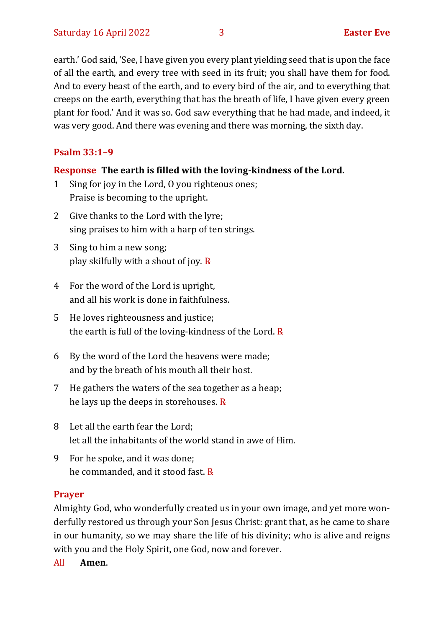earth.' God said, 'See, I have given you every plant yielding seed that is upon the face of all the earth, and every tree with seed in its fruit; you shall have them for food. And to every beast of the earth, and to every bird of the air, and to everything that creeps on the earth, everything that has the breath of life, I have given every green plant for food.' And it was so. God saw everything that he had made, and indeed, it was very good. And there was evening and there was morning, the sixth day.

#### **Psalm 33:1–9**

#### **Response The earth is filled with the loving-kindness of the Lord.**

- 1 Sing for joy in the Lord, O you righteous ones; Praise is becoming to the upright.
- 2 Give thanks to the Lord with the lyre; sing praises to him with a harp of ten strings.
- 3 Sing to him a new song; play skilfully with a shout of joy.  $\bf{R}$
- 4 For the word of the Lord is upright, and all his work is done in faithfulness.
- 5 He loves righteousness and justice; the earth is full of the loving-kindness of the Lord.  $\bf R$
- 6 By the word of the Lord the heavens were made; and by the breath of his mouth all their host.
- 7 He gathers the waters of the sea together as a heap; he lays up the deeps in storehouses. ℞
- 8 Let all the earth fear the Lord; let all the inhabitants of the world stand in awe of Him.
- 9 For he spoke, and it was done; he commanded, and it stood fast. R

#### **Prayer**

Almighty God, who wonderfully created us in your own image, and yet more wonderfully restored us through your Son Jesus Christ: grant that, as he came to share in our humanity, so we may share the life of his divinity; who is alive and reigns with you and the Holy Spirit, one God, now and forever.

All **Amen**.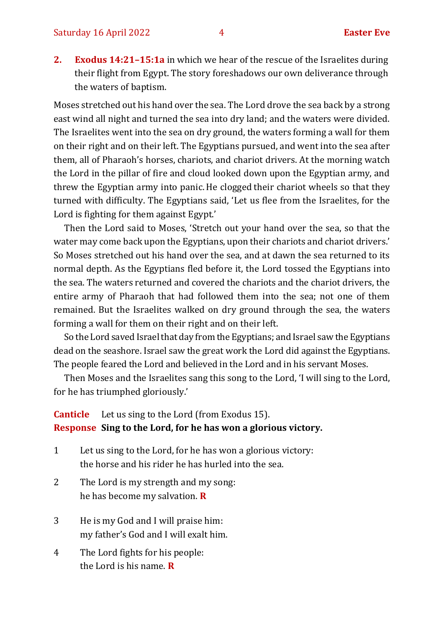**2. Exodus 14:21–15:1a** in which we hear of the rescue of the Israelites during their flight from Egypt. The story foreshadows our own deliverance through the waters of baptism.

Moses stretched out his hand over the sea. The Lord drove the sea back by a strong east wind all night and turned the sea into dry land; and the waters were divided. The Israelites went into the sea on dry ground, the waters forming a wall for them on their right and on their left. The Egyptians pursued, and went into the sea after them, all of Pharaoh's horses, chariots, and chariot drivers. At the morning watch the Lord in the pillar of fire and cloud looked down upon the Egyptian army, and threw the Egyptian army into panic.He clogged their chariot wheels so that they turned with difficulty. The Egyptians said, 'Let us flee from the Israelites, for the Lord is fighting for them against Egypt.'

Then the Lord said to Moses, 'Stretch out your hand over the sea, so that the water may come back upon the Egyptians, upon their chariots and chariot drivers.' So Moses stretched out his hand over the sea, and at dawn the sea returned to its normal depth. As the Egyptians fled before it, the Lord tossed the Egyptians into the sea. The waters returned and covered the chariots and the chariot drivers, the entire army of Pharaoh that had followed them into the sea; not one of them remained. But the Israelites walked on dry ground through the sea, the waters forming a wall for them on their right and on their left.

So the Lord saved Israel that day from the Egyptians; and Israel saw the Egyptians dead on the seashore. Israel saw the great work the Lord did against the Egyptians. The people feared the Lord and believed in the Lord and in his servant Moses.

Then Moses and the Israelites sang this song to the Lord, 'I will sing to the Lord, for he has triumphed gloriously.'

### **Canticle** Let us sing to the Lord (from Exodus 15). **Response Sing to the Lord, for he has won a glorious victory.**

- 1 Let us sing to the Lord, for he has won a glorious victory: the horse and his rider he has hurled into the sea.
- 2 The Lord is my strength and my song: he has become my salvation. **R**
- 3 He is my God and I will praise him: my father's God and I will exalt him.
- 4 The Lord fights for his people: the Lord is his name. **R**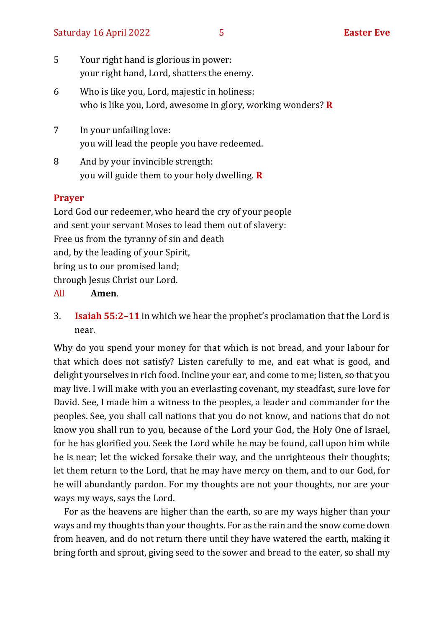- 5 Your right hand is glorious in power: your right hand, Lord, shatters the enemy.
- 6 Who is like you, Lord, majestic in holiness: who is like you, Lord, awesome in glory, working wonders? **R**
- 7 In your unfailing love: you will lead the people you have redeemed.
- 8 And by your invincible strength: you will guide them to your holy dwelling. **R**

#### **Prayer**

Lord God our redeemer, who heard the cry of your people and sent your servant Moses to lead them out of slavery: Free us from the tyranny of sin and death and, by the leading of your Spirit, bring us to our promised land; through Jesus Christ our Lord.

#### All **Amen**.

3. **Isaiah 55:2–11** in which we hear the prophet's proclamation that the Lord is near.

Why do you spend your money for that which is not bread, and your labour for that which does not satisfy? Listen carefully to me, and eat what is good, and delight yourselves in rich food. Incline your ear, and come to me; listen, so that you may live. I will make with you an everlasting covenant, my steadfast, sure love for David. See, I made him a witness to the peoples, a leader and commander for the peoples. See, you shall call nations that you do not know, and nations that do not know you shall run to you, because of the Lord your God, the Holy One of Israel, for he has glorified you. Seek the Lord while he may be found, call upon him while he is near; let the wicked forsake their way, and the unrighteous their thoughts; let them return to the Lord, that he may have mercy on them, and to our God, for he will abundantly pardon. For my thoughts are not your thoughts, nor are your ways my ways, says the Lord.

For as the heavens are higher than the earth, so are my ways higher than your ways and my thoughts than your thoughts. For as the rain and the snow come down from heaven, and do not return there until they have watered the earth, making it bring forth and sprout, giving seed to the sower and bread to the eater, so shall my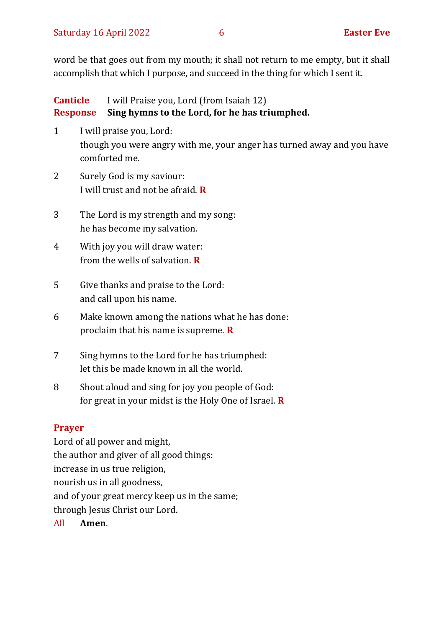word be that goes out from my mouth; it shall not return to me empty, but it shall accomplish that which I purpose, and succeed in the thing for which I sent it.

### **Canticle** I will Praise you, Lord (from Isaiah 12) **Response Sing hymns to the Lord, for he has triumphed.**

- 1 I will praise you, Lord: though you were angry with me, your anger has turned away and you have comforted me.
- 2 Surely God is my saviour: I will trust and not be afraid. **R**
- 3 The Lord is my strength and my song: he has become my salvation.
- 4 With joy you will draw water: from the wells of salvation. **R**
- 5 Give thanks and praise to the Lord: and call upon his name.
- 6 Make known among the nations what he has done: proclaim that his name is supreme. **R**
- 7 Sing hymns to the Lord for he has triumphed: let this be made known in all the world.
- 8 Shout aloud and sing for joy you people of God: for great in your midst is the Holy One of Israel. **R**

## **Prayer**

Lord of all power and might, the author and giver of all good things: increase in us true religion, nourish us in all goodness, and of your great mercy keep us in the same; through Jesus Christ our Lord.

All **Amen**.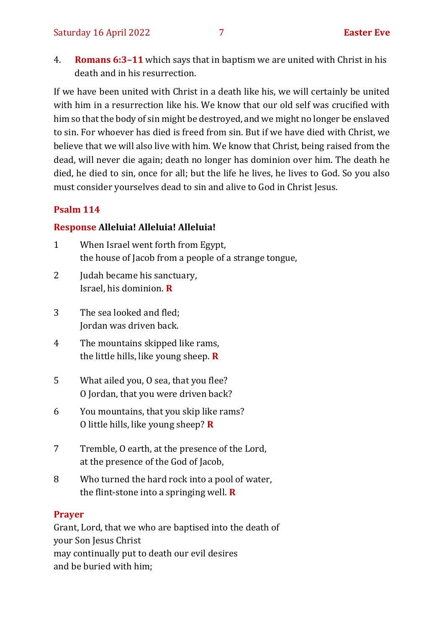4. **Romans 6:3–11** which says that in baptism we are united with Christ in his death and in his resurrection.

If we have been united with Christ in a death like his, we will certainly be united with him in a resurrection like his. We know that our old self was crucified with him so that the body of sin might be destroyed, and we might no longer be enslaved to sin. For whoever has died is freed from sin. But if we have died with Christ, we believe that we will also live with him. We know that Christ, being raised from the dead, will never die again; death no longer has dominion over him. The death he died, he died to sin, once for all; but the life he lives, he lives to God. So you also must consider yourselves dead to sin and alive to God in Christ Jesus.

#### **Psalm 114**

#### **Response Alleluia! Alleluia! Alleluia!**

- 1 When Israel went forth from Egypt, the house of Jacob from a people of a strange tongue,
- 2 Judah became his sanctuary, Israel, his dominion. **R**
- 3 The sea looked and fled; Jordan was driven back.
- 4 The mountains skipped like rams, the little hills, like young sheep. **R**
- 5 What ailed you, O sea, that you flee? O Jordan, that you were driven back?
- 6 You mountains, that you skip like rams? O little hills, like young sheep? **R**
- 7 Tremble, O earth, at the presence of the Lord, at the presence of the God of Jacob,
- 8 Who turned the hard rock into a pool of water, the flint-stone into a springing well. **R**

#### **Prayer**

Grant, Lord, that we who are baptised into the death of your Son Jesus Christ may continually put to death our evil desires and be buried with him;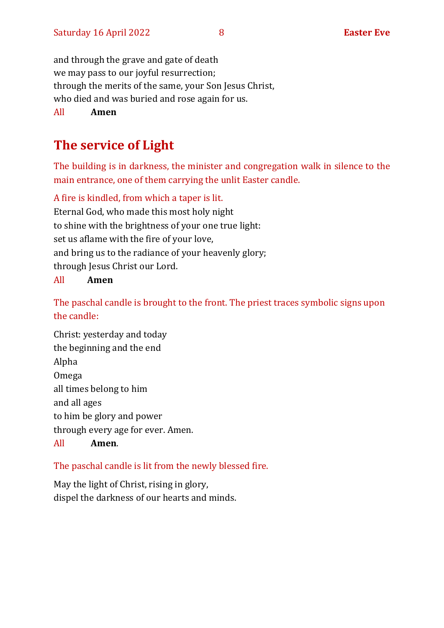and through the grave and gate of death we may pass to our joyful resurrection; through the merits of the same, your Son Jesus Christ, who died and was buried and rose again for us.

All **Amen**

# **The service of Light**

The building is in darkness, the minister and congregation walk in silence to the main entrance, one of them carrying the unlit Easter candle.

A fire is kindled, from which a taper is lit. Eternal God, who made this most holy night to shine with the brightness of your one true light: set us aflame with the fire of your love, and bring us to the radiance of your heavenly glory; through Jesus Christ our Lord.

#### All **Amen**

The paschal candle is brought to the front. The priest traces symbolic signs upon the candle:

Christ: yesterday and today the beginning and the end Alpha Omega all times belong to him and all ages to him be glory and power through every age for ever. Amen. All **Amen**.

The paschal candle is lit from the newly blessed fire.

May the light of Christ, rising in glory, dispel the darkness of our hearts and minds.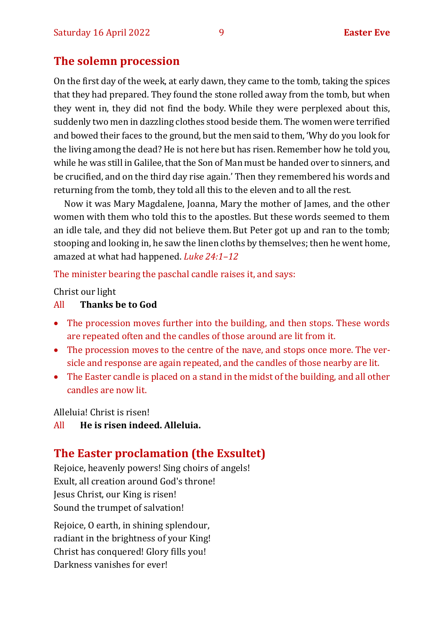#### **The solemn procession**

On the first day of the week, at early dawn, they came to the tomb, taking the spices that they had prepared. They found the stone rolled away from the tomb, but when they went in, they did not find the body. While they were perplexed about this, suddenly two men in dazzling clothes stood beside them. The women were terrified and bowed their faces to the ground, but the mensaid to them, 'Why do you look for the living among the dead? He is not here but has risen. Remember how he told you, while he was still in Galilee, that the Son of Man must be handed over to sinners, and be crucified, and on the third day rise again.' Then they remembered his words and returning from the tomb, they told all this to the eleven and to all the rest.

Now it was Mary Magdalene, Joanna, Mary the mother of James, and the other women with them who told this to the apostles. But these words seemed to them an idle tale, and they did not believe them.But Peter got up and ran to the tomb; stooping and looking in, he saw the linen cloths by themselves; then he went home, amazed at what had happened. *Luke 24:1–12* 

The minister bearing the paschal candle raises it, and says:

Christ our light

#### All **Thanks be to God**

- The procession moves further into the building, and then stops. These words are repeated often and the candles of those around are lit from it.
- The procession moves to the centre of the nave, and stops once more. The versicle and response are again repeated, and the candles of those nearby are lit.
- The Easter candle is placed on a stand in the midst of the building, and all other candles are now lit.

Alleluia! Christ is risen!

All **He is risen indeed. Alleluia.**

## **The Easter proclamation (the Exsultet)**

Rejoice, heavenly powers! Sing choirs of angels! Exult, all creation around God's throne! Jesus Christ, our King is risen! Sound the trumpet of salvation!

Rejoice, O earth, in shining splendour, radiant in the brightness of your King! Christ has conquered! Glory fills you! Darkness vanishes for ever!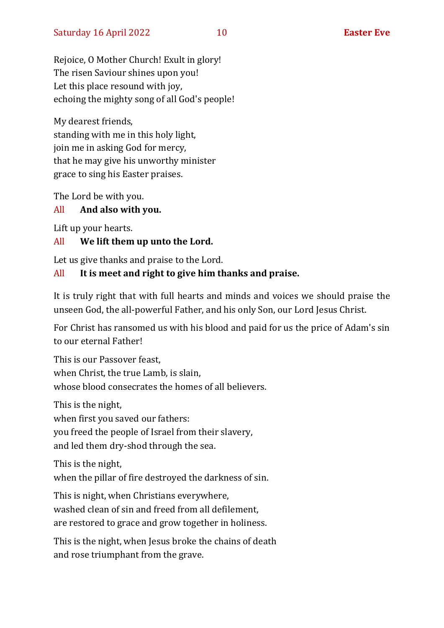Rejoice, O Mother Church! Exult in glory! The risen Saviour shines upon you! Let this place resound with joy, echoing the mighty song of all God's people!

My dearest friends, standing with me in this holy light, join me in asking God for mercy, that he may give his unworthy minister grace to sing his Easter praises.

The Lord be with you.

## All **And also with you.**

Lift up your hearts.

#### All **We lift them up unto the Lord.**

Let us give thanks and praise to the Lord.

## All **It is meet and right to give him thanks and praise.**

It is truly right that with full hearts and minds and voices we should praise the unseen God, the all-powerful Father, and his only Son, our Lord Jesus Christ.

For Christ has ransomed us with his blood and paid for us the price of Adam's sin to our eternal Father!

This is our Passover feast, when Christ, the true Lamb, is slain, whose blood consecrates the homes of all believers.

This is the night, when first you saved our fathers: you freed the people of Israel from their slavery, and led them dry-shod through the sea.

This is the night,

when the pillar of fire destroyed the darkness of sin.

This is night, when Christians everywhere, washed clean of sin and freed from all defilement, are restored to grace and grow together in holiness.

This is the night, when Jesus broke the chains of death and rose triumphant from the grave.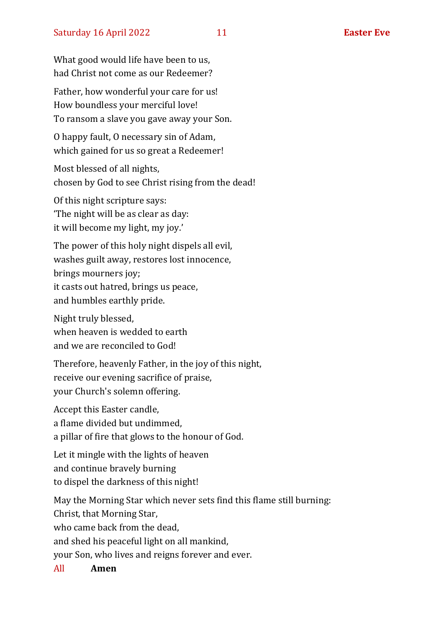What good would life have been to us, had Christ not come as our Redeemer?

Father, how wonderful your care for us! How boundless your merciful love! To ransom a slave you gave away your Son.

O happy fault, O necessary sin of Adam, which gained for us so great a Redeemer!

Most blessed of all nights, chosen by God to see Christ rising from the dead!

Of this night scripture says: 'The night will be as clear as day: it will become my light, my joy.'

The power of this holy night dispels all evil, washes guilt away, restores lost innocence, brings mourners joy; it casts out hatred, brings us peace, and humbles earthly pride.

Night truly blessed, when heaven is wedded to earth and we are reconciled to God!

Therefore, heavenly Father, in the joy of this night, receive our evening sacrifice of praise, your Church's solemn offering.

Accept this Easter candle, a flame divided but undimmed, a pillar of fire that glows to the honour of God.

Let it mingle with the lights of heaven and continue bravely burning to dispel the darkness of this night!

May the Morning Star which never sets find this flame still burning: Christ, that Morning Star,

who came back from the dead,

and shed his peaceful light on all mankind,

your Son, who lives and reigns forever and ever.

All **Amen**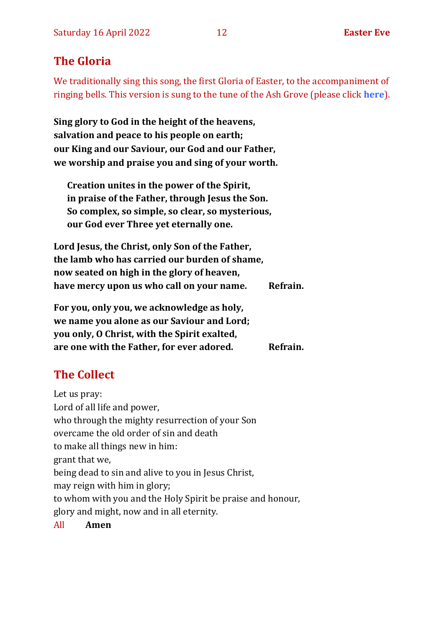# **The Gloria**

We traditionally sing this song, the first Gloria of Easter, to the accompaniment of ringing bells. This version is sung to the tune of the Ash Grove (please click **[here](https://hymnary.org/tune/ash_grove)**).

**Sing glory to God in the height of the heavens, salvation and peace to his people on earth; our King and our Saviour, our God and our Father, we worship and praise you and sing of your worth.**

**Creation unites in the power of the Spirit, in praise of the Father, through Jesus the Son. So complex, so simple, so clear, so mysterious, our God ever Three yet eternally one.**

**Lord Jesus, the Christ, only Son of the Father, the lamb who has carried our burden of shame, now seated on high in the glory of heaven, have mercy upon us who call on your name. Refrain.**

**For you, only you, we acknowledge as holy, we name you alone as our Saviour and Lord; you only, O Christ, with the Spirit exalted, are one with the Father, for ever adored. Refrain.**

# **The Collect**

Let us pray: Lord of all life and power, who through the mighty resurrection of your Son overcame the old order of sin and death to make all things new in him: grant that we, being dead to sin and alive to you in Jesus Christ, may reign with him in glory; to whom with you and the Holy Spirit be praise and honour, glory and might, now and in all eternity.

All **Amen**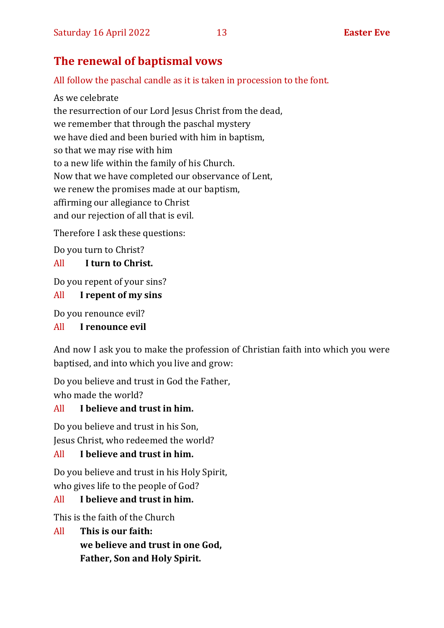# **The renewal of baptismal vows**

All follow the paschal candle as it is taken in procession to the font.

As we celebrate the resurrection of our Lord Jesus Christ from the dead, we remember that through the paschal mystery we have died and been buried with him in baptism, so that we may rise with him to a new life within the family of his Church. Now that we have completed our observance of Lent, we renew the promises made at our baptism, affirming our allegiance to Christ and our rejection of all that is evil.

Therefore I ask these questions:

Do you turn to Christ?

#### All **I turn to Christ.**

Do you repent of your sins?

#### All **I repent of my sins**

Do you renounce evil?

#### All **I renounce evil**

And now I ask you to make the profession of Christian faith into which you were baptised, and into which you live and grow:

Do you believe and trust in God the Father, who made the world?

#### All **I believe and trust in him.**

Do you believe and trust in his Son, Jesus Christ, who redeemed the world?

## All **I believe and trust in him.**

Do you believe and trust in his Holy Spirit, who gives life to the people of God?

## All **I believe and trust in him.**

This is the faith of the Church

All **This is our faith: we believe and trust in one God, Father, Son and Holy Spirit.**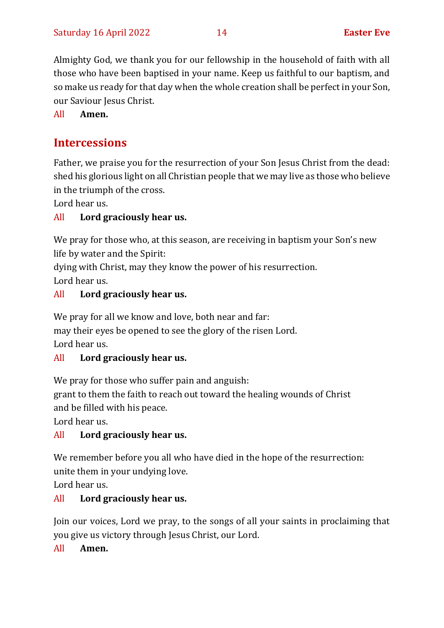Almighty God, we thank you for our fellowship in the household of faith with all those who have been baptised in your name. Keep us faithful to our baptism, and so make us ready for that day when the whole creation shall be perfect in your Son, our Saviour Jesus Christ.

All **Amen.**

## **Intercessions**

Father, we praise you for the resurrection of your Son Jesus Christ from the dead: shed his glorious light on all Christian people that we may live as those who believe in the triumph of the cross.

Lord hear us.

#### All **Lord graciously hear us.**

We pray for those who, at this season, are receiving in baptism your Son's new life by water and the Spirit:

dying with Christ, may they know the power of his resurrection.

Lord hear us.

#### All **Lord graciously hear us.**

We pray for all we know and love, both near and far: may their eyes be opened to see the glory of the risen Lord.

Lord hear us.

## All **Lord graciously hear us.**

We pray for those who suffer pain and anguish:

grant to them the faith to reach out toward the healing wounds of Christ and be filled with his peace.

Lord hear us.

## All **Lord graciously hear us.**

We remember before you all who have died in the hope of the resurrection: unite them in your undying love.

Lord hear us.

## All **Lord graciously hear us.**

Join our voices, Lord we pray, to the songs of all your saints in proclaiming that you give us victory through Jesus Christ, our Lord.

#### All **Amen.**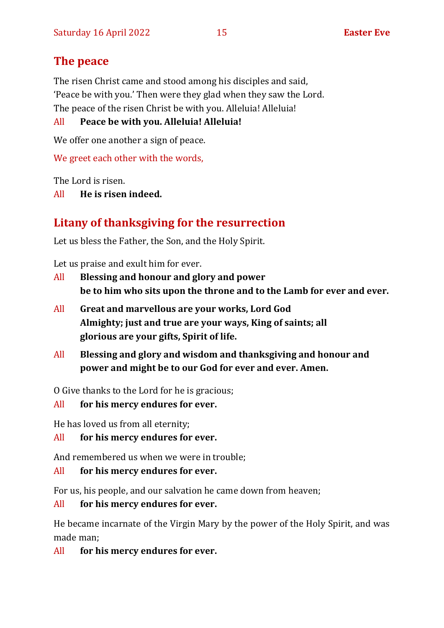## **The peace**

The risen Christ came and stood among his disciples and said, 'Peace be with you.' Then were they glad when they saw the Lord. The peace of the risen Christ be with you. Alleluia! Alleluia!

### All **Peace be with you. Alleluia! Alleluia!**

We offer one another a sign of peace.

We greet each other with the words,

The Lord is risen.

All **He is risen indeed.** 

# **Litany of thanksgiving for the resurrection**

Let us bless the Father, the Son, and the Holy Spirit.

Let us praise and exult him for ever.

- All **Blessing and honour and glory and power be to him who sits upon the throne and to the Lamb for ever and ever.**
- All **Great and marvellous are your works, Lord God Almighty; just and true are your ways, King of saints; all glorious are your gifts, Spirit of life.**
- All **Blessing and glory and wisdom and thanksgiving and honour and power and might be to our God for ever and ever. Amen.**

O Give thanks to the Lord for he is gracious;

All **for his mercy endures for ever.** 

He has loved us from all eternity;

All **for his mercy endures for ever.** 

And remembered us when we were in trouble;

All **for his mercy endures for ever.** 

For us, his people, and our salvation he came down from heaven;

#### All **for his mercy endures for ever.**

He became incarnate of the Virgin Mary by the power of the Holy Spirit, and was made man;

All **for his mercy endures for ever.**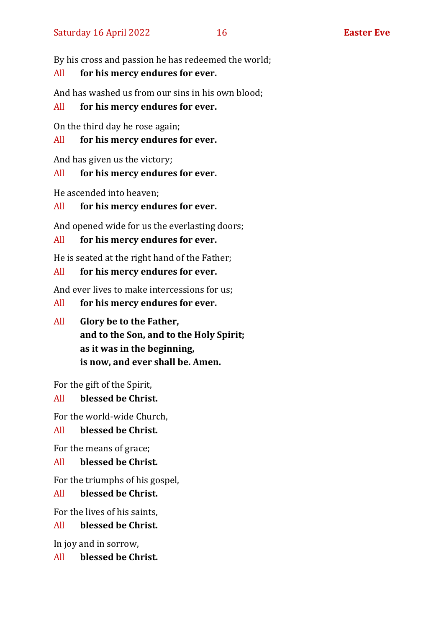By his cross and passion he has redeemed the world;

### All **for his mercy endures for ever.**

And has washed us from our sins in his own blood;

#### All **for his mercy endures for ever.**

On the third day he rose again;

### All **for his mercy endures for ever.**

And has given us the victory;

## All **for his mercy endures for ever.**

He ascended into heaven;

All **for his mercy endures for ever.** 

And opened wide for us the everlasting doors;

## All **for his mercy endures for ever.**

He is seated at the right hand of the Father;

## All **for his mercy endures for ever.**

And ever lives to make intercessions for us;

## All **for his mercy endures for ever.**

All **Glory be to the Father, and to the Son, and to the Holy Spirit; as it was in the beginning, is now, and ever shall be. Amen.**

For the gift of the Spirit,

## All **blessed be Christ.**

For the world-wide Church,

## All **blessed be Christ.**

For the means of grace;

## All **blessed be Christ.**

For the triumphs of his gospel,

## All **blessed be Christ.**

For the lives of his saints,

## All **blessed be Christ.**

In joy and in sorrow,

All **blessed be Christ.**